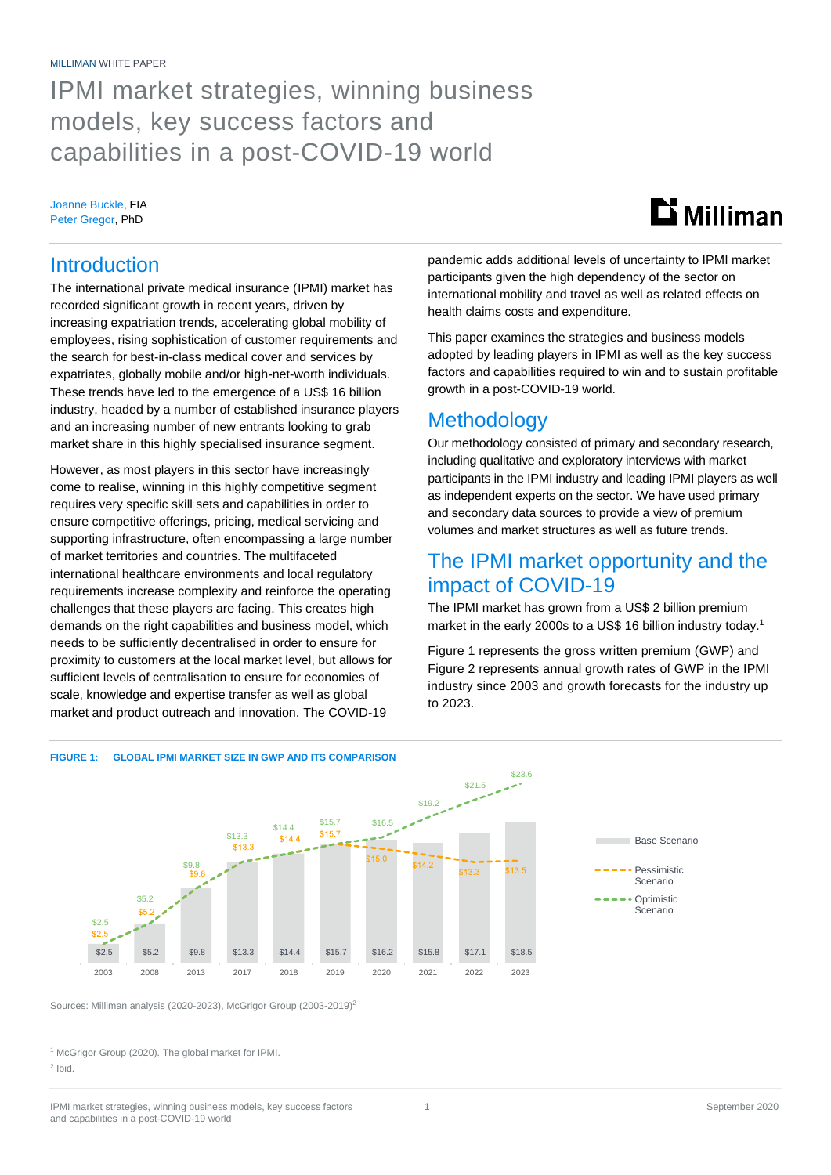# IPMI market strategies, winning business models, key success factors and capabilities in a post-COVID-19 world

### Joanne Buckle, FIA Peter Gregor, PhD

# $\mathbf{D}$  Milliman

### **Introduction**

The international private medical insurance (IPMI) market has recorded significant growth in recent years, driven by increasing expatriation trends, accelerating global mobility of employees, rising sophistication of customer requirements and the search for best-in-class medical cover and services by expatriates, globally mobile and/or high-net-worth individuals. These trends have led to the emergence of a US\$ 16 billion industry, headed by a number of established insurance players and an increasing number of new entrants looking to grab market share in this highly specialised insurance segment.

However, as most players in this sector have increasingly come to realise, winning in this highly competitive segment requires very specific skill sets and capabilities in order to ensure competitive offerings, pricing, medical servicing and supporting infrastructure, often encompassing a large number of market territories and countries. The multifaceted international healthcare environments and local regulatory requirements increase complexity and reinforce the operating challenges that these players are facing. This creates high demands on the right capabilities and business model, which needs to be sufficiently decentralised in order to ensure for proximity to customers at the local market level, but allows for sufficient levels of centralisation to ensure for economies of scale, knowledge and expertise transfer as well as global market and product outreach and innovation. The COVID-19

### pandemic adds additional levels of uncertainty to IPMI market participants given the high dependency of the sector on international mobility and travel as well as related effects on health claims costs and expenditure.

This paper examines the strategies and business models adopted by leading players in IPMI as well as the key success factors and capabilities required to win and to sustain profitable growth in a post-COVID-19 world.

### **Methodology**

Our methodology consisted of primary and secondary research, including qualitative and exploratory interviews with market participants in the IPMI industry and leading IPMI players as well as independent experts on the sector. We have used primary and secondary data sources to provide a view of premium volumes and market structures as well as future trends.

## The IPMI market opportunity and the impact of COVID-19

The IPMI market has grown from a US\$ 2 billion premium market in the early 2000s to a US\$ 16 billion industry today.<sup>1</sup>

Figure 1 represents the gross written premium (GWP) and Figure 2 represents annual growth rates of GWP in the IPMI industry since 2003 and growth forecasts for the industry up to 2023.



Sources: Milliman analysis (2020-2023), McGrigor Group (2003-2019)<sup>2</sup>

<sup>&</sup>lt;sup>1</sup> McGrigor Group (2020). The global market for IPMI.

<sup>2</sup> Ibid.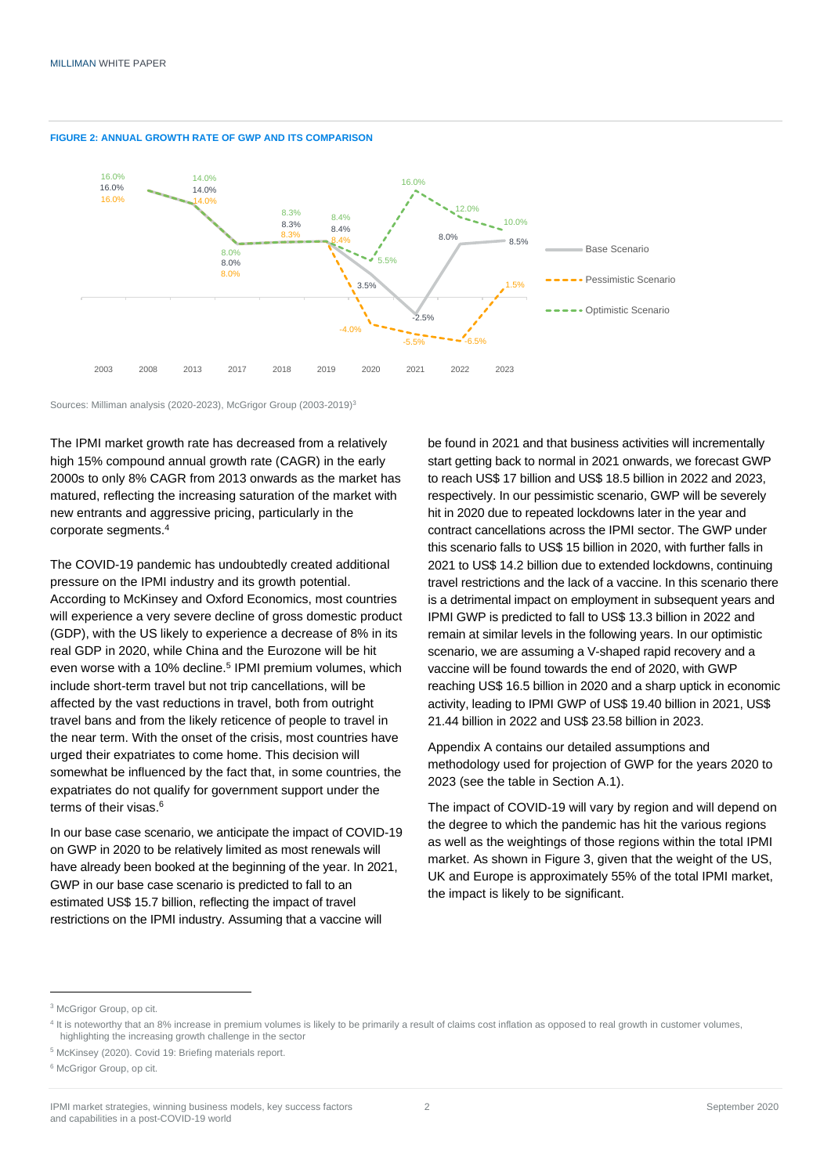



Sources: Milliman analysis (2020-2023), McGrigor Group (2003-2019)<sup>3</sup>

The IPMI market growth rate has decreased from a relatively high 15% compound annual growth rate (CAGR) in the early 2000s to only 8% CAGR from 2013 onwards as the market has matured, reflecting the increasing saturation of the market with new entrants and aggressive pricing, particularly in the corporate segments.<sup>4</sup>

The COVID-19 pandemic has undoubtedly created additional pressure on the IPMI industry and its growth potential. According to McKinsey and Oxford Economics, most countries will experience a very severe decline of gross domestic product (GDP), with the US likely to experience a decrease of 8% in its real GDP in 2020, while China and the Eurozone will be hit even worse with a 10% decline.<sup>5</sup> IPMI premium volumes, which include short-term travel but not trip cancellations, will be affected by the vast reductions in travel, both from outright travel bans and from the likely reticence of people to travel in the near term. With the onset of the crisis, most countries have urged their expatriates to come home. This decision will somewhat be influenced by the fact that, in some countries, the expatriates do not qualify for government support under the terms of their visas. 6

In our base case scenario, we anticipate the impact of COVID-19 on GWP in 2020 to be relatively limited as most renewals will have already been booked at the beginning of the year. In 2021, GWP in our base case scenario is predicted to fall to an estimated US\$ 15.7 billion, reflecting the impact of travel restrictions on the IPMI industry. Assuming that a vaccine will

be found in 2021 and that business activities will incrementally start getting back to normal in 2021 onwards, we forecast GWP to reach US\$ 17 billion and US\$ 18.5 billion in 2022 and 2023, respectively. In our pessimistic scenario, GWP will be severely hit in 2020 due to repeated lockdowns later in the year and contract cancellations across the IPMI sector. The GWP under this scenario falls to US\$ 15 billion in 2020, with further falls in 2021 to US\$ 14.2 billion due to extended lockdowns, continuing travel restrictions and the lack of a vaccine. In this scenario there is a detrimental impact on employment in subsequent years and IPMI GWP is predicted to fall to US\$ 13.3 billion in 2022 and remain at similar levels in the following years. In our optimistic scenario, we are assuming a V-shaped rapid recovery and a vaccine will be found towards the end of 2020, with GWP reaching US\$ 16.5 billion in 2020 and a sharp uptick in economic activity, leading to IPMI GWP of US\$ 19.40 billion in 2021, US\$ 21.44 billion in 2022 and US\$ 23.58 billion in 2023.

Appendix A contains our detailed assumptions and methodology used for projection of GWP for the years 2020 to 2023 (see the table in Section A.1).

The impact of COVID-19 will vary by region and will depend on the degree to which the pandemic has hit the various regions as well as the weightings of those regions within the total IPMI market. As shown in Figure 3, given that the weight of the US, UK and Europe is approximately 55% of the total IPMI market, the impact is likely to be significant.

<sup>&</sup>lt;sup>3</sup> McGrigor Group, op cit.

<sup>&</sup>lt;sup>4</sup> It is noteworthy that an 8% increase in premium volumes is likely to be primarily a result of claims cost inflation as opposed to real growth in customer volumes, highlighting the increasing growth challenge in the sector

<sup>5</sup> McKinsey (2020). Covid 19: Briefing materials report.

<sup>&</sup>lt;sup>6</sup> McGrigor Group, op cit.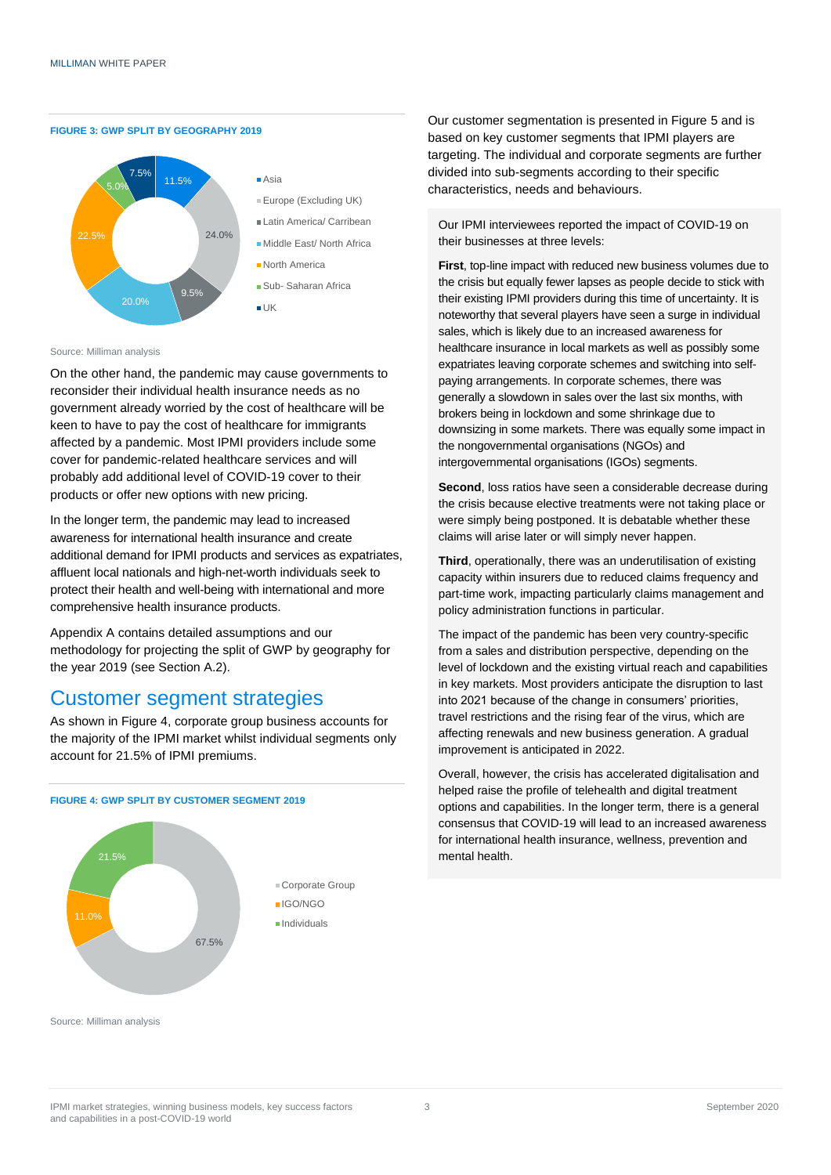



- Europe (Excluding UK)
- Latin America/ Carribean
- Middle East/ North Africa
- North America
- Sub- Saharan Africa
- 

Source: Milliman analysis

On the other hand, the pandemic may cause governments to reconsider their individual health insurance needs as no government already worried by the cost of healthcare will be keen to have to pay the cost of healthcare for immigrants affected by a pandemic. Most IPMI providers include some cover for pandemic-related healthcare services and will probably add additional level of COVID-19 cover to their products or offer new options with new pricing.

In the longer term, the pandemic may lead to increased awareness for international health insurance and create additional demand for IPMI products and services as expatriates, affluent local nationals and high-net-worth individuals seek to protect their health and well-being with international and more comprehensive health insurance products.

Appendix A contains detailed assumptions and our methodology for projecting the split of GWP by geography for the year 2019 (see Section A.2).

### Customer segment strategies

As shown in Figure 4, corporate group business accounts for the majority of the IPMI market whilst individual segments only account for 21.5% of IPMI premiums.



Our customer segmentation is presented in Figure 5 and is based on key customer segments that IPMI players are targeting. The individual and corporate segments are further divided into sub-segments according to their specific characteristics, needs and behaviours.

Our IPMI interviewees reported the impact of COVID-19 on their businesses at three levels:

**First**, top-line impact with reduced new business volumes due to the crisis but equally fewer lapses as people decide to stick with their existing IPMI providers during this time of uncertainty. It is noteworthy that several players have seen a surge in individual sales, which is likely due to an increased awareness for healthcare insurance in local markets as well as possibly some expatriates leaving corporate schemes and switching into selfpaying arrangements. In corporate schemes, there was generally a slowdown in sales over the last six months, with brokers being in lockdown and some shrinkage due to downsizing in some markets. There was equally some impact in the nongovernmental organisations (NGOs) and intergovernmental organisations (IGOs) segments.

**Second**, loss ratios have seen a considerable decrease during the crisis because elective treatments were not taking place or were simply being postponed. It is debatable whether these claims will arise later or will simply never happen.

**Third**, operationally, there was an underutilisation of existing capacity within insurers due to reduced claims frequency and part-time work, impacting particularly claims management and policy administration functions in particular.

The impact of the pandemic has been very country-specific from a sales and distribution perspective, depending on the level of lockdown and the existing virtual reach and capabilities in key markets. Most providers anticipate the disruption to last into 2021 because of the change in consumers' priorities, travel restrictions and the rising fear of the virus, which are affecting renewals and new business generation. A gradual improvement is anticipated in 2022.

Overall, however, the crisis has accelerated digitalisation and helped raise the profile of telehealth and digital treatment options and capabilities. In the longer term, there is a general consensus that COVID-19 will lead to an increased awareness for international health insurance, wellness, prevention and mental health.

Source: Milliman analysis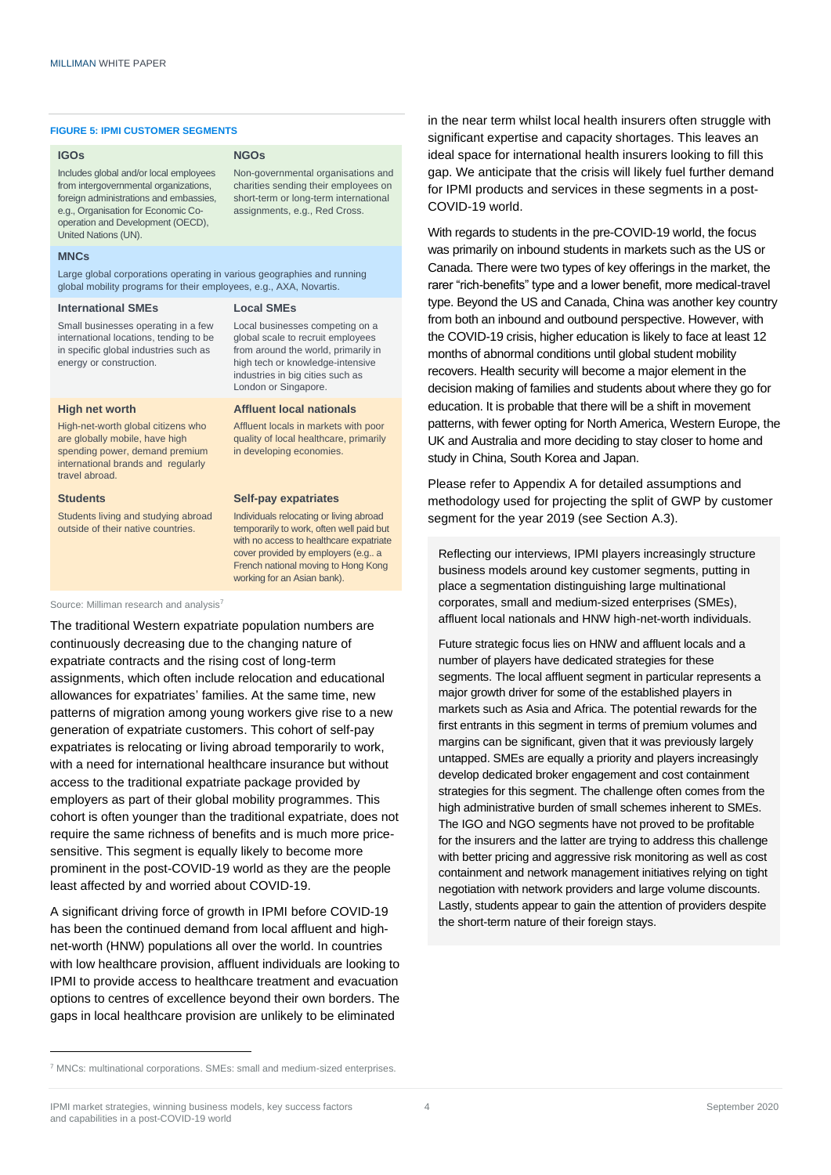#### **FIGURE 5: IPMI CUSTOMER SEGMENTS**

#### **IGOs**

Includes global and/or local employees from intergovernmental organizations, foreign administrations and embassies, e.g., Organisation for Economic Cooperation and Development (OECD), United Nations (UN).

#### **MNCs**

Large global corporations operating in various geographies and running global mobility programs for their employees, e.g., AXA, Novartis.

#### **International SMEs**

Small businesses operating in a few international locations, tending to be in specific global industries such as energy or construction.

#### **High net worth**

High-net-worth global citizens who are globally mobile, have high spending power, demand premium international brands and regularly travel abroad.

#### **Students**

Students living and studying abroad outside of their native countries.

#### **NGOs**

Non-governmental organisations and charities sending their employees on short-term or long-term international assignments, e.g., Red Cross.

**Local SMEs**

Local businesses competing on a global scale to recruit employees from around the world, primarily in high tech or knowledge-intensive industries in big cities such as London or Singapore.

#### **Affluent local nationals**

Affluent locals in markets with poor quality of local healthcare, primarily in developing economies.

#### **Self-pay expatriates**

Individuals relocating or living abroad temporarily to work, often well paid but with no access to healthcare expatriate cover provided by employers (e.g.. a French national moving to Hong Kong working for an Asian bank).

Source: Milliman research and analysis<sup>7</sup>

The traditional Western expatriate population numbers are continuously decreasing due to the changing nature of expatriate contracts and the rising cost of long-term assignments, which often include relocation and educational allowances for expatriates' families. At the same time, new patterns of migration among young workers give rise to a new generation of expatriate customers. This cohort of self-pay expatriates is relocating or living abroad temporarily to work, with a need for international healthcare insurance but without access to the traditional expatriate package provided by employers as part of their global mobility programmes. This cohort is often younger than the traditional expatriate, does not require the same richness of benefits and is much more pricesensitive. This segment is equally likely to become more prominent in the post-COVID-19 world as they are the people least affected by and worried about COVID-19.

A significant driving force of growth in IPMI before COVID-19 has been the continued demand from local affluent and highnet-worth (HNW) populations all over the world. In countries with low healthcare provision, affluent individuals are looking to IPMI to provide access to healthcare treatment and evacuation options to centres of excellence beyond their own borders. The gaps in local healthcare provision are unlikely to be eliminated

in the near term whilst local health insurers often struggle with significant expertise and capacity shortages. This leaves an ideal space for international health insurers looking to fill this gap. We anticipate that the crisis will likely fuel further demand for IPMI products and services in these segments in a post-COVID-19 world.

With regards to students in the pre-COVID-19 world, the focus was primarily on inbound students in markets such as the US or Canada. There were two types of key offerings in the market, the rarer "rich-benefits" type and a lower benefit, more medical-travel type. Beyond the US and Canada, China was another key country from both an inbound and outbound perspective. However, with the COVID-19 crisis, higher education is likely to face at least 12 months of abnormal conditions until global student mobility recovers. Health security will become a major element in the decision making of families and students about where they go for education. It is probable that there will be a shift in movement patterns, with fewer opting for North America, Western Europe, the UK and Australia and more deciding to stay closer to home and study in China, South Korea and Japan.

Please refer to Appendix A for detailed assumptions and methodology used for projecting the split of GWP by customer segment for the year 2019 (see Section A.3).

Reflecting our interviews, IPMI players increasingly structure business models around key customer segments, putting in place a segmentation distinguishing large multinational corporates, small and medium-sized enterprises (SMEs), affluent local nationals and HNW high-net-worth individuals.

Future strategic focus lies on HNW and affluent locals and a number of players have dedicated strategies for these segments. The local affluent segment in particular represents a major growth driver for some of the established players in markets such as Asia and Africa. The potential rewards for the first entrants in this segment in terms of premium volumes and margins can be significant, given that it was previously largely untapped. SMEs are equally a priority and players increasingly develop dedicated broker engagement and cost containment strategies for this segment. The challenge often comes from the high administrative burden of small schemes inherent to SMEs. The IGO and NGO segments have not proved to be profitable for the insurers and the latter are trying to address this challenge with better pricing and aggressive risk monitoring as well as cost containment and network management initiatives relying on tight negotiation with network providers and large volume discounts. Lastly, students appear to gain the attention of providers despite the short-term nature of their foreign stays.

<sup>7</sup> MNCs: multinational corporations. SMEs: small and medium-sized enterprises.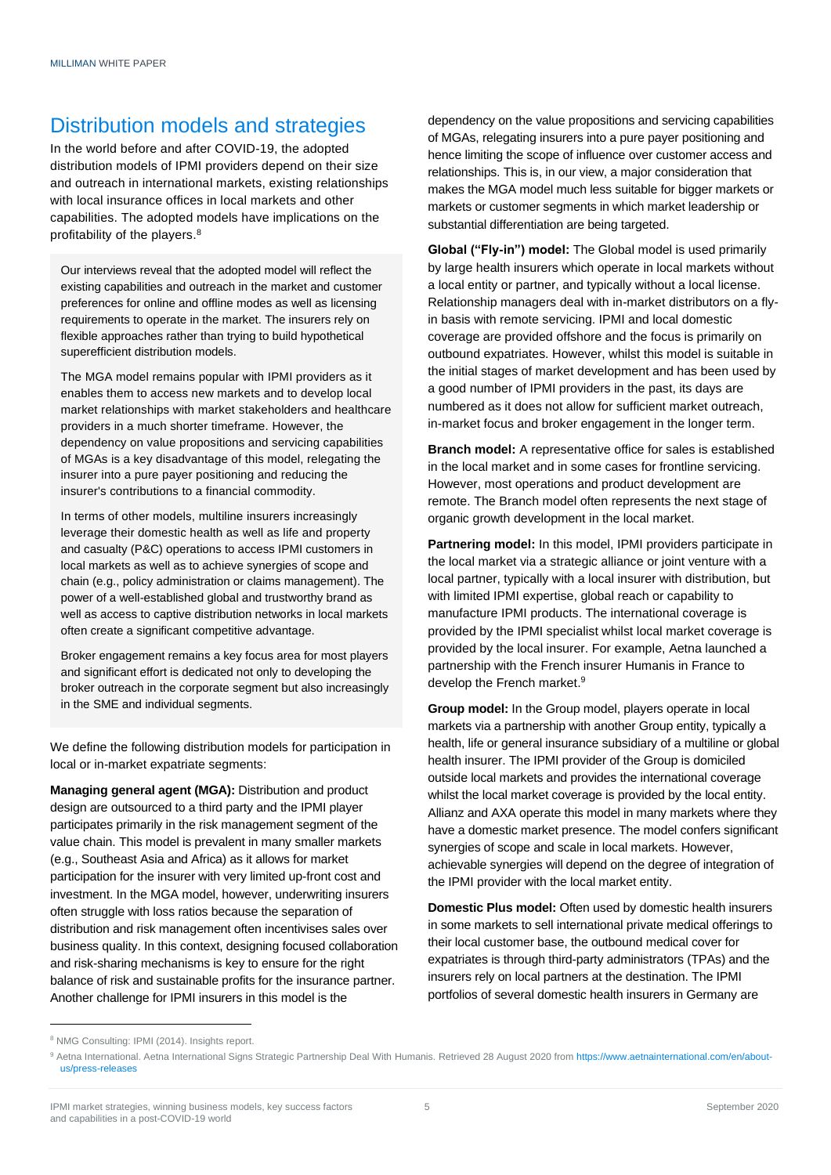# Distribution models and strategies

In the world before and after COVID-19, the adopted distribution models of IPMI providers depend on their size and outreach in international markets, existing relationships with local insurance offices in local markets and other capabilities. The adopted models have implications on the profitability of the players.<sup>8</sup>

Our interviews reveal that the adopted model will reflect the existing capabilities and outreach in the market and customer preferences for online and offline modes as well as licensing requirements to operate in the market. The insurers rely on flexible approaches rather than trying to build hypothetical superefficient distribution models.

The MGA model remains popular with IPMI providers as it enables them to access new markets and to develop local market relationships with market stakeholders and healthcare providers in a much shorter timeframe. However, the dependency on value propositions and servicing capabilities of MGAs is a key disadvantage of this model, relegating the insurer into a pure payer positioning and reducing the insurer's contributions to a financial commodity.

In terms of other models, multiline insurers increasingly leverage their domestic health as well as life and property and casualty (P&C) operations to access IPMI customers in local markets as well as to achieve synergies of scope and chain (e.g., policy administration or claims management). The power of a well-established global and trustworthy brand as well as access to captive distribution networks in local markets often create a significant competitive advantage.

Broker engagement remains a key focus area for most players and significant effort is dedicated not only to developing the broker outreach in the corporate segment but also increasingly in the SME and individual segments.

We define the following distribution models for participation in local or in-market expatriate segments:

**Managing general agent (MGA):** Distribution and product design are outsourced to a third party and the IPMI player participates primarily in the risk management segment of the value chain. This model is prevalent in many smaller markets (e.g., Southeast Asia and Africa) as it allows for market participation for the insurer with very limited up-front cost and investment. In the MGA model, however, underwriting insurers often struggle with loss ratios because the separation of distribution and risk management often incentivises sales over business quality. In this context, designing focused collaboration and risk-sharing mechanisms is key to ensure for the right balance of risk and sustainable profits for the insurance partner. Another challenge for IPMI insurers in this model is the

dependency on the value propositions and servicing capabilities of MGAs, relegating insurers into a pure payer positioning and hence limiting the scope of influence over customer access and relationships. This is, in our view, a major consideration that makes the MGA model much less suitable for bigger markets or markets or customer segments in which market leadership or substantial differentiation are being targeted.

**Global ("Fly-in") model:** The Global model is used primarily by large health insurers which operate in local markets without a local entity or partner, and typically without a local license. Relationship managers deal with in-market distributors on a flyin basis with remote servicing. IPMI and local domestic coverage are provided offshore and the focus is primarily on outbound expatriates. However, whilst this model is suitable in the initial stages of market development and has been used by a good number of IPMI providers in the past, its days are numbered as it does not allow for sufficient market outreach, in-market focus and broker engagement in the longer term.

**Branch model:** A representative office for sales is established in the local market and in some cases for frontline servicing. However, most operations and product development are remote. The Branch model often represents the next stage of organic growth development in the local market.

**Partnering model:** In this model, IPMI providers participate in the local market via a strategic alliance or joint venture with a local partner, typically with a local insurer with distribution, but with limited IPMI expertise, global reach or capability to manufacture IPMI products. The international coverage is provided by the IPMI specialist whilst local market coverage is provided by the local insurer. For example, Aetna launched a partnership with the French insurer Humanis in France to develop the French market.<sup>9</sup>

**Group model:** In the Group model, players operate in local markets via a partnership with another Group entity, typically a health, life or general insurance subsidiary of a multiline or global health insurer. The IPMI provider of the Group is domiciled outside local markets and provides the international coverage whilst the local market coverage is provided by the local entity. Allianz and AXA operate this model in many markets where they have a domestic market presence. The model confers significant synergies of scope and scale in local markets. However, achievable synergies will depend on the degree of integration of the IPMI provider with the local market entity.

**Domestic Plus model:** Often used by domestic health insurers in some markets to sell international private medical offerings to their local customer base, the outbound medical cover for expatriates is through third-party administrators (TPAs) and the insurers rely on local partners at the destination. The IPMI portfolios of several domestic health insurers in Germany are

<sup>8</sup> NMG Consulting: IPMI (2014). Insights report.

<sup>9</sup> Aetna International. Aetna International Signs Strategic Partnership Deal With Humanis. Retrieved 28 August 2020 fro[m https://www.aetnainternational.com/en/about](https://www.aetnainternational.com/en/about-us/press-releases/2018/aetna-international-signs-strategic-partnership-humanis.html)[us/press-releases](https://www.aetnainternational.com/en/about-us/press-releases/2018/aetna-international-signs-strategic-partnership-humanis.html)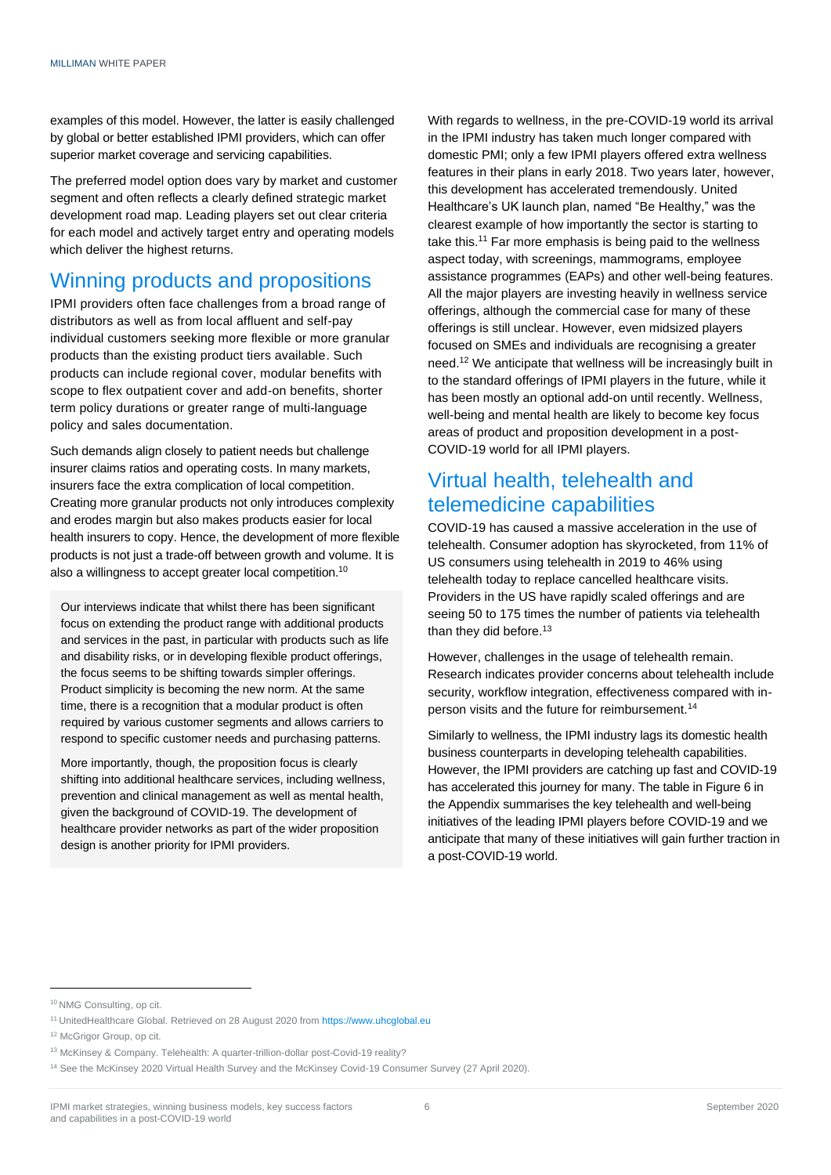examples of this model. However, the latter is easily challenged by global or better established IPMI providers, which can offer superior market coverage and servicing capabilities.

The preferred model option does vary by market and customer segment and often reflects a clearly defined strategic market development road map. Leading players set out clear criteria for each model and actively target entry and operating models which deliver the highest returns.

# Winning products and propositions

IPMI providers often face challenges from a broad range of distributors as well as from local affluent and self-pay individual customers seeking more flexible or more granular products than the existing product tiers available. Such products can include regional cover, modular benefits with scope to flex outpatient cover and add-on benefits, shorter term policy durations or greater range of multi-language policy and sales documentation.

Such demands align closely to patient needs but challenge insurer claims ratios and operating costs. In many markets, insurers face the extra complication of local competition. Creating more granular products not only introduces complexity and erodes margin but also makes products easier for local health insurers to copy. Hence, the development of more flexible products is not just a trade-off between growth and volume. It is also a willingness to accept greater local competition.<sup>10</sup>

Our interviews indicate that whilst there has been significant focus on extending the product range with additional products and services in the past, in particular with products such as life and disability risks, or in developing flexible product offerings, the focus seems to be shifting towards simpler offerings. Product simplicity is becoming the new norm. At the same time, there is a recognition that a modular product is often required by various customer segments and allows carriers to respond to specific customer needs and purchasing patterns.

More importantly, though, the proposition focus is clearly shifting into additional healthcare services, including wellness, prevention and clinical management as well as mental health, given the background of COVID-19. The development of healthcare provider networks as part of the wider proposition design is another priority for IPMI providers.

With regards to wellness, in the pre-COVID-19 world its arrival in the IPMI industry has taken much longer compared with domestic PMI; only a few IPMI players offered extra wellness features in their plans in early 2018. Two years later, however, this development has accelerated tremendously. United Healthcare's UK launch plan, named "Be Healthy," was the clearest example of how importantly the sector is starting to take this.<sup>11</sup> Far more emphasis is being paid to the wellness aspect today, with screenings, mammograms, employee assistance programmes (EAPs) and other well-being features. All the major players are investing heavily in wellness service offerings, although the commercial case for many of these offerings is still unclear. However, even midsized players focused on SMEs and individuals are recognising a greater need.<sup>12</sup> We anticipate that wellness will be increasingly built in to the standard offerings of IPMI players in the future, while it has been mostly an optional add-on until recently. Wellness, well-being and mental health are likely to become key focus areas of product and proposition development in a post-COVID-19 world for all IPMI players.

# Virtual health, telehealth and telemedicine capabilities

COVID-19 has caused a massive acceleration in the use of telehealth. Consumer adoption has skyrocketed, from 11% of US consumers using telehealth in 2019 to 46% using telehealth today to replace cancelled healthcare visits. Providers in the US have rapidly scaled offerings and are seeing 50 to 175 times the number of patients via telehealth than they did before.<sup>13</sup>

However, challenges in the usage of telehealth remain. Research indicates provider concerns about telehealth include security, workflow integration, effectiveness compared with inperson visits and the future for reimbursement.<sup>14</sup>

Similarly to wellness, the IPMI industry lags its domestic health business counterparts in developing telehealth capabilities. However, the IPMI providers are catching up fast and COVID-19 has accelerated this journey for many. The table in Figure 6 in the Appendix summarises the key telehealth and well-being initiatives of the leading IPMI players before COVID-19 and we anticipate that many of these initiatives will gain further traction in a post-COVID-19 world.

<sup>10</sup> NMG Consulting, op cit.

<sup>&</sup>lt;sup>11</sup> UnitedHealthcare Global. Retrieved on 28 August 2020 from [https://www.uhcglobal.eu](https://www.uhcglobal.eu/behealthy-plans)

<sup>12</sup> McGrigor Group, op cit.

<sup>13</sup> McKinsey & Company. Telehealth: A quarter-trillion-dollar post-Covid-19 reality?

<sup>&</sup>lt;sup>14</sup> See the McKinsey 2020 Virtual Health Survey and the McKinsey Covid-19 Consumer Survey (27 April 2020).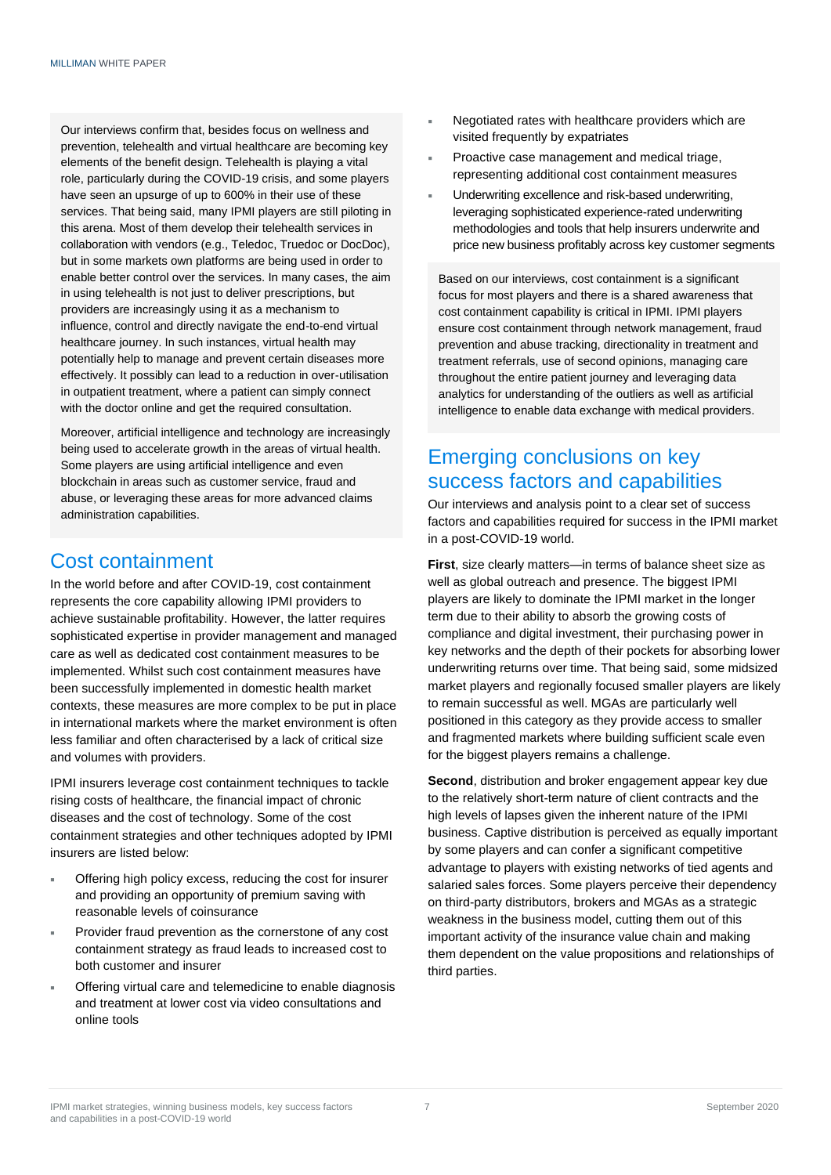Our interviews confirm that, besides focus on wellness and prevention, telehealth and virtual healthcare are becoming key elements of the benefit design. Telehealth is playing a vital role, particularly during the COVID-19 crisis, and some players have seen an upsurge of up to 600% in their use of these services. That being said, many IPMI players are still piloting in this arena. Most of them develop their telehealth services in collaboration with vendors (e.g., Teledoc, Truedoc or DocDoc), but in some markets own platforms are being used in order to enable better control over the services. In many cases, the aim in using telehealth is not just to deliver prescriptions, but providers are increasingly using it as a mechanism to influence, control and directly navigate the end-to-end virtual healthcare journey. In such instances, virtual health may potentially help to manage and prevent certain diseases more effectively. It possibly can lead to a reduction in over-utilisation in outpatient treatment, where a patient can simply connect with the doctor online and get the required consultation.

Moreover, artificial intelligence and technology are increasingly being used to accelerate growth in the areas of virtual health. Some players are using artificial intelligence and even blockchain in areas such as customer service, fraud and abuse, or leveraging these areas for more advanced claims administration capabilities.

## Cost containment

In the world before and after COVID-19, cost containment represents the core capability allowing IPMI providers to achieve sustainable profitability. However, the latter requires sophisticated expertise in provider management and managed care as well as dedicated cost containment measures to be implemented. Whilst such cost containment measures have been successfully implemented in domestic health market contexts, these measures are more complex to be put in place in international markets where the market environment is often less familiar and often characterised by a lack of critical size and volumes with providers.

IPMI insurers leverage cost containment techniques to tackle rising costs of healthcare, the financial impact of chronic diseases and the cost of technology. Some of the cost containment strategies and other techniques adopted by IPMI insurers are listed below:

- Offering high policy excess, reducing the cost for insurer and providing an opportunity of premium saving with reasonable levels of coinsurance
- Provider fraud prevention as the cornerstone of any cost containment strategy as fraud leads to increased cost to both customer and insurer
- Offering virtual care and telemedicine to enable diagnosis and treatment at lower cost via video consultations and online tools
- Negotiated rates with healthcare providers which are visited frequently by expatriates
- Proactive case management and medical triage, representing additional cost containment measures
- Underwriting excellence and risk-based underwriting, leveraging sophisticated experience-rated underwriting methodologies and tools that help insurers underwrite and price new business profitably across key customer segments

Based on our interviews, cost containment is a significant focus for most players and there is a shared awareness that cost containment capability is critical in IPMI. IPMI players ensure cost containment through network management, fraud prevention and abuse tracking, directionality in treatment and treatment referrals, use of second opinions, managing care throughout the entire patient journey and leveraging data analytics for understanding of the outliers as well as artificial intelligence to enable data exchange with medical providers.

# Emerging conclusions on key success factors and capabilities

Our interviews and analysis point to a clear set of success factors and capabilities required for success in the IPMI market in a post-COVID-19 world.

**First**, size clearly matters—in terms of balance sheet size as well as global outreach and presence. The biggest IPMI players are likely to dominate the IPMI market in the longer term due to their ability to absorb the growing costs of compliance and digital investment, their purchasing power in key networks and the depth of their pockets for absorbing lower underwriting returns over time. That being said, some midsized market players and regionally focused smaller players are likely to remain successful as well. MGAs are particularly well positioned in this category as they provide access to smaller and fragmented markets where building sufficient scale even for the biggest players remains a challenge.

**Second**, distribution and broker engagement appear key due to the relatively short-term nature of client contracts and the high levels of lapses given the inherent nature of the IPMI business. Captive distribution is perceived as equally important by some players and can confer a significant competitive advantage to players with existing networks of tied agents and salaried sales forces. Some players perceive their dependency on third-party distributors, brokers and MGAs as a strategic weakness in the business model, cutting them out of this important activity of the insurance value chain and making them dependent on the value propositions and relationships of third parties.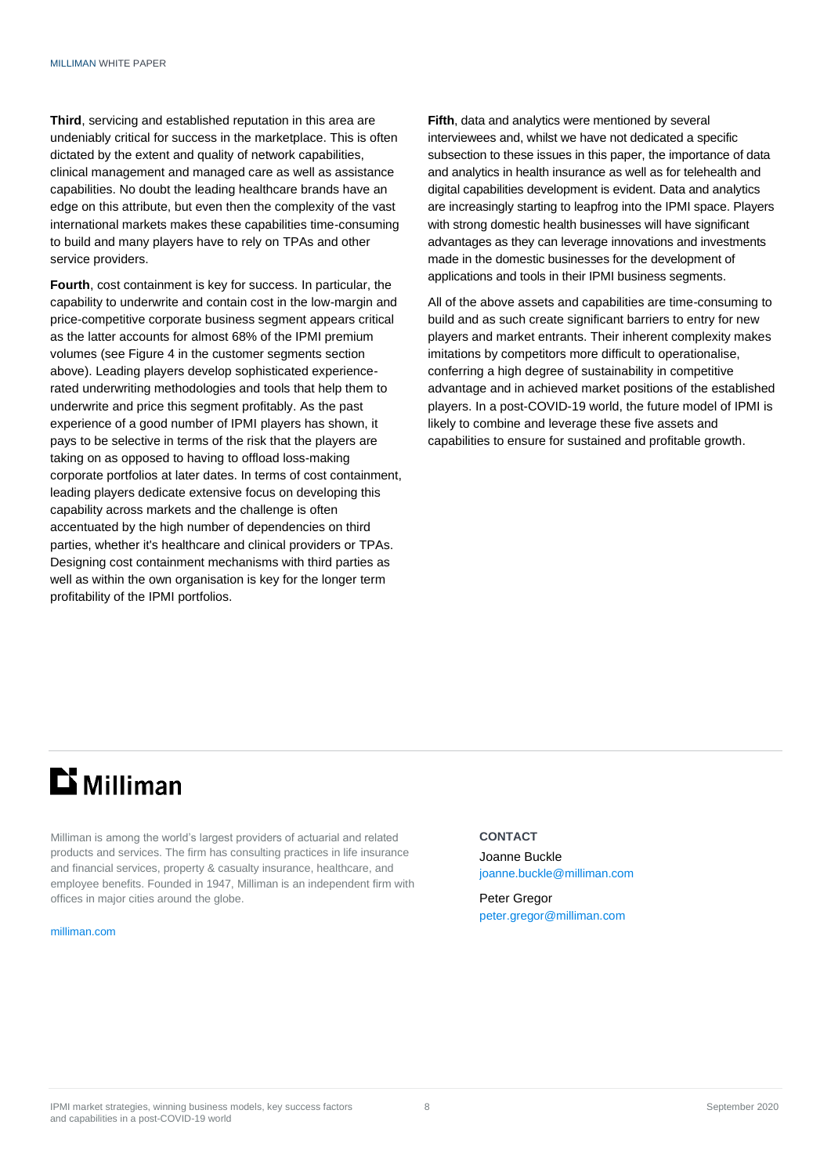**Third**, servicing and established reputation in this area are undeniably critical for success in the marketplace. This is often dictated by the extent and quality of network capabilities, clinical management and managed care as well as assistance capabilities. No doubt the leading healthcare brands have an edge on this attribute, but even then the complexity of the vast international markets makes these capabilities time-consuming to build and many players have to rely on TPAs and other service providers.

**Fourth**, cost containment is key for success. In particular, the capability to underwrite and contain cost in the low-margin and price-competitive corporate business segment appears critical as the latter accounts for almost 68% of the IPMI premium volumes (see Figure 4 in the customer segments section above). Leading players develop sophisticated experiencerated underwriting methodologies and tools that help them to underwrite and price this segment profitably. As the past experience of a good number of IPMI players has shown, it pays to be selective in terms of the risk that the players are taking on as opposed to having to offload loss-making corporate portfolios at later dates. In terms of cost containment, leading players dedicate extensive focus on developing this capability across markets and the challenge is often accentuated by the high number of dependencies on third parties, whether it's healthcare and clinical providers or TPAs. Designing cost containment mechanisms with third parties as well as within the own organisation is key for the longer term profitability of the IPMI portfolios.

**Fifth**, data and analytics were mentioned by several interviewees and, whilst we have not dedicated a specific subsection to these issues in this paper, the importance of data and analytics in health insurance as well as for telehealth and digital capabilities development is evident. Data and analytics are increasingly starting to leapfrog into the IPMI space. Players with strong domestic health businesses will have significant advantages as they can leverage innovations and investments made in the domestic businesses for the development of applications and tools in their IPMI business segments.

All of the above assets and capabilities are time-consuming to build and as such create significant barriers to entry for new players and market entrants. Their inherent complexity makes imitations by competitors more difficult to operationalise, conferring a high degree of sustainability in competitive advantage and in achieved market positions of the established players. In a post-COVID-19 world, the future model of IPMI is likely to combine and leverage these five assets and capabilities to ensure for sustained and profitable growth.

# **Li** Milliman

Milliman is among the world's largest providers of actuarial and related products and services. The firm has consulting practices in life insurance and financial services, property & casualty insurance, healthcare, and employee benefits. Founded in 1947, Milliman is an independent firm with offices in major cities around the globe.

#### [milliman.com](http://www.milliman.com/)

### **CONTACT**

Joanne Buckle [joanne.buckle@milliman.com](mailto:joanne.buckle@milliman.com)

Peter Gregor [peter.gregor@milliman.com](mailto:peter.gregor@milliman.com)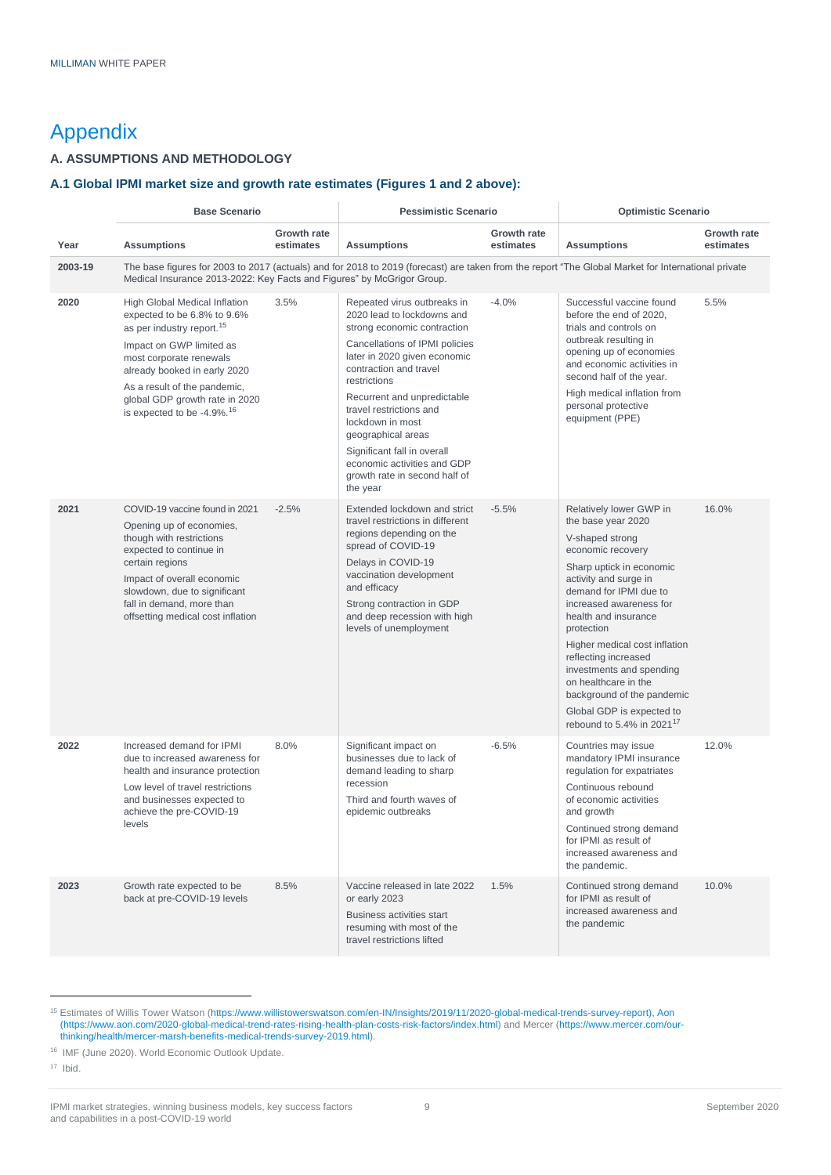# Appendix

### **A. ASSUMPTIONS AND METHODOLOGY**

### **A.1 Global IPMI market size and growth rate estimates (Figures 1 and 2 above):**

|         | <b>Base Scenario</b>                                                                                                                                                                                                                                                                                     |                          | <b>Pessimistic Scenario</b>                                                                                                                                                                                                                                                                                                                                                                                         |                          | <b>Optimistic Scenario</b>                                                                                                                                                                                                                                                                                                                                                                                                                             |                          |
|---------|----------------------------------------------------------------------------------------------------------------------------------------------------------------------------------------------------------------------------------------------------------------------------------------------------------|--------------------------|---------------------------------------------------------------------------------------------------------------------------------------------------------------------------------------------------------------------------------------------------------------------------------------------------------------------------------------------------------------------------------------------------------------------|--------------------------|--------------------------------------------------------------------------------------------------------------------------------------------------------------------------------------------------------------------------------------------------------------------------------------------------------------------------------------------------------------------------------------------------------------------------------------------------------|--------------------------|
| Year    | <b>Assumptions</b>                                                                                                                                                                                                                                                                                       | Growth rate<br>estimates | <b>Assumptions</b>                                                                                                                                                                                                                                                                                                                                                                                                  | Growth rate<br>estimates | <b>Assumptions</b>                                                                                                                                                                                                                                                                                                                                                                                                                                     | Growth rate<br>estimates |
| 2003-19 | The base figures for 2003 to 2017 (actuals) and for 2018 to 2019 (forecast) are taken from the report "The Global Market for International private<br>Medical Insurance 2013-2022: Key Facts and Figures" by McGrigor Group.                                                                             |                          |                                                                                                                                                                                                                                                                                                                                                                                                                     |                          |                                                                                                                                                                                                                                                                                                                                                                                                                                                        |                          |
| 2020    | High Global Medical Inflation<br>expected to be 6.8% to 9.6%<br>as per industry report. <sup>15</sup><br>Impact on GWP limited as<br>most corporate renewals<br>already booked in early 2020<br>As a result of the pandemic,<br>global GDP growth rate in 2020<br>is expected to be -4.9%. <sup>16</sup> | 3.5%                     | Repeated virus outbreaks in<br>2020 lead to lockdowns and<br>strong economic contraction<br>Cancellations of IPMI policies<br>later in 2020 given economic<br>contraction and travel<br>restrictions<br>Recurrent and unpredictable<br>travel restrictions and<br>lockdown in most<br>geographical areas<br>Significant fall in overall<br>economic activities and GDP<br>growth rate in second half of<br>the year | $-4.0%$                  | Successful vaccine found<br>before the end of 2020,<br>trials and controls on<br>outbreak resulting in<br>opening up of economies<br>and economic activities in<br>second half of the year.<br>High medical inflation from<br>personal protective<br>equipment (PPE)                                                                                                                                                                                   | 5.5%                     |
| 2021    | COVID-19 vaccine found in 2021<br>Opening up of economies,<br>though with restrictions<br>expected to continue in<br>certain regions<br>Impact of overall economic<br>slowdown, due to significant<br>fall in demand, more than<br>offsetting medical cost inflation                                     | $-2.5%$                  | Extended lockdown and strict<br>travel restrictions in different<br>regions depending on the<br>spread of COVID-19<br>Delays in COVID-19<br>vaccination development<br>and efficacy<br>Strong contraction in GDP<br>and deep recession with high<br>levels of unemployment                                                                                                                                          | $-5.5%$                  | Relatively lower GWP in<br>the base year 2020<br>V-shaped strong<br>economic recovery<br>Sharp uptick in economic<br>activity and surge in<br>demand for IPMI due to<br>increased awareness for<br>health and insurance<br>protection<br>Higher medical cost inflation<br>reflecting increased<br>investments and spending<br>on healthcare in the<br>background of the pandemic<br>Global GDP is expected to<br>rebound to 5.4% in 2021 <sup>17</sup> | 16.0%                    |
| 2022    | Increased demand for IPMI<br>due to increased awareness for<br>health and insurance protection<br>Low level of travel restrictions<br>and businesses expected to<br>achieve the pre-COVID-19<br>levels                                                                                                   | 8.0%                     | Significant impact on<br>businesses due to lack of<br>demand leading to sharp<br>recession<br>Third and fourth waves of<br>epidemic outbreaks                                                                                                                                                                                                                                                                       | $-6.5%$                  | Countries may issue<br>mandatory IPMI insurance<br>regulation for expatriates<br>Continuous rebound<br>of economic activities<br>and growth<br>Continued strong demand<br>for IPMI as result of<br>increased awareness and<br>the pandemic.                                                                                                                                                                                                            | 12.0%                    |
| 2023    | Growth rate expected to be<br>back at pre-COVID-19 levels                                                                                                                                                                                                                                                | 8.5%                     | Vaccine released in late 2022<br>or early 2023<br>Business activities start<br>resuming with most of the<br>travel restrictions lifted                                                                                                                                                                                                                                                                              | 1.5%                     | Continued strong demand<br>for IPMI as result of<br>increased awareness and<br>the pandemic                                                                                                                                                                                                                                                                                                                                                            | 10.0%                    |

<sup>15</sup> Estimates of Willis Tower Watson (https://www.willistowerswatson.com/en-IN/Insights/2019/11/2020-global-medical-trends-survey-report), Aon (https://www.aon.com/2020-global-medical-trend-rates-rising-health-plan-costs-risk-factors/index.html) and Mercer (https://www.mercer.com/ourthinking/health/mercer-marsh-benefits-medical-trends-survey-2019.html).

<sup>16</sup> [IMF \(June 2020\). World Economic Outlook Update.](https://www.imf.org/en/Publications/WEO)

<sup>17</sup> [Ibid.](https://www.imf.org/en/Publications/WEO)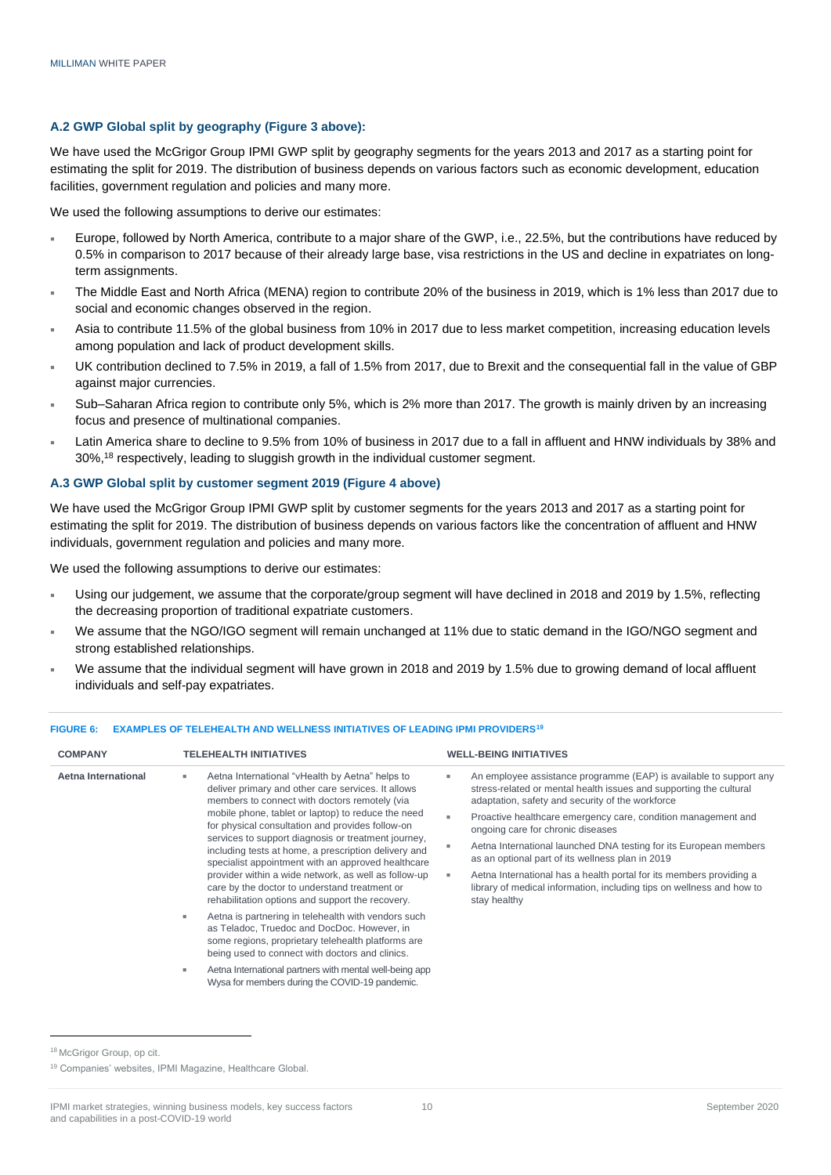### **A.2 GWP Global split by geography (Figure 3 above):**

We have used the McGrigor Group IPMI GWP split by geography segments for the years 2013 and 2017 as a starting point for estimating the split for 2019. The distribution of business depends on various factors such as economic development, education facilities, government regulation and policies and many more.

We used the following assumptions to derive our estimates:

- Europe, followed by North America, contribute to a major share of the GWP, i.e., 22.5%, but the contributions have reduced by 0.5% in comparison to 2017 because of their already large base, visa restrictions in the US and decline in expatriates on longterm assignments.
- The Middle East and North Africa (MENA) region to contribute 20% of the business in 2019, which is 1% less than 2017 due to social and economic changes observed in the region.
- Asia to contribute 11.5% of the global business from 10% in 2017 due to less market competition, increasing education levels among population and lack of product development skills.
- UK contribution declined to 7.5% in 2019, a fall of 1.5% from 2017, due to Brexit and the consequential fall in the value of GBP against major currencies.
- Sub–Saharan Africa region to contribute only 5%, which is 2% more than 2017. The growth is mainly driven by an increasing focus and presence of multinational companies.
- Latin America share to decline to 9.5% from 10% of business in 2017 due to a fall in affluent and HNW individuals by 38% and 30%, <sup>18</sup> respectively, leading to sluggish growth in the individual customer segment.

### **A.3 GWP Global split by customer segment 2019 (Figure 4 above)**

We have used the McGrigor Group IPMI GWP split by customer segments for the years 2013 and 2017 as a starting point for estimating the split for 2019. The distribution of business depends on various factors like the concentration of affluent and HNW individuals, government regulation and policies and many more.

We used the following assumptions to derive our estimates:

- Using our judgement, we assume that the corporate/group segment will have declined in 2018 and 2019 by 1.5%, reflecting the decreasing proportion of traditional expatriate customers.
- We assume that the NGO/IGO segment will remain unchanged at 11% due to static demand in the IGO/NGO segment and strong established relationships.
- We assume that the individual segment will have grown in 2018 and 2019 by 1.5% due to growing demand of local affluent individuals and self-pay expatriates.

| <b>COMPANY</b>      | <b>TELEHEALTH INITIATIVES</b>                                                                                                                                                                               | <b>WELL-BEING INITIATIVES</b>                                                                                                                                                                |
|---------------------|-------------------------------------------------------------------------------------------------------------------------------------------------------------------------------------------------------------|----------------------------------------------------------------------------------------------------------------------------------------------------------------------------------------------|
| Aetna International | Aetna International "vHealth by Aetna" helps to<br>deliver primary and other care services. It allows<br>members to connect with doctors remotely (via                                                      | An employee assistance programme (EAP) is available to support any<br>stress-related or mental health issues and supporting the cultural<br>adaptation, safety and security of the workforce |
|                     | mobile phone, tablet or laptop) to reduce the need<br>for physical consultation and provides follow-on<br>services to support diagnosis or treatment journey,                                               | Proactive healthcare emergency care, condition management and<br>ongoing care for chronic diseases                                                                                           |
|                     | including tests at home, a prescription delivery and<br>specialist appointment with an approved healthcare                                                                                                  | Aetna International launched DNA testing for its European members<br>as an optional part of its wellness plan in 2019                                                                        |
|                     | provider within a wide network, as well as follow-up<br>care by the doctor to understand treatment or<br>rehabilitation options and support the recovery.                                                   | Aetna International has a health portal for its members providing a<br>library of medical information, including tips on wellness and how to<br>stay healthy                                 |
|                     | Aetna is partnering in telehealth with vendors such<br>as Teladoc, Truedoc and DocDoc. However, in<br>some regions, proprietary telehealth platforms are<br>being used to connect with doctors and clinics. |                                                                                                                                                                                              |
|                     | Aetna International partners with mental well-being app<br>Wysa for members during the COVID-19 pandemic.                                                                                                   |                                                                                                                                                                                              |

#### **FIGURE 6: EXAMPLES OF TELEHEALTH AND WELLNESS INITIATIVES OF LEADING IPMI PROVIDERS<sup>19</sup>**

<sup>18</sup> McGrigor Group, op cit.

<sup>19</sup> Companies' websites, IPMI Magazine, Healthcare Global.